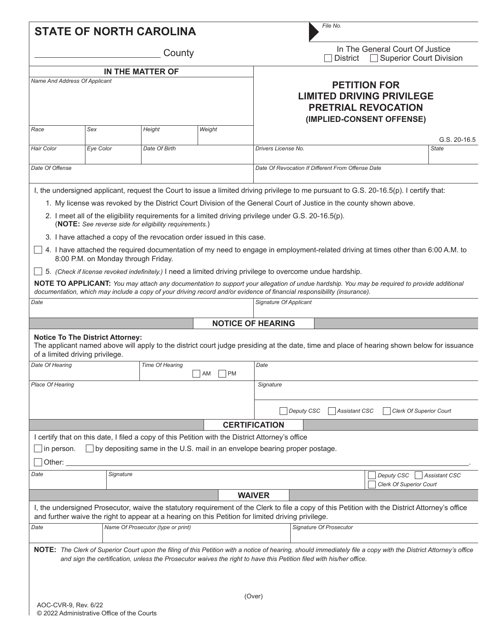|                               |                                                                            | County                                                 |                                                                                                                                                                                |                                                                                                                    |                                                                                                                                                                                                                                                                | In The General Court Of Justice<br><b>Superior Court Division</b><br><b>District</b>                                                                            |  |  |
|-------------------------------|----------------------------------------------------------------------------|--------------------------------------------------------|--------------------------------------------------------------------------------------------------------------------------------------------------------------------------------|--------------------------------------------------------------------------------------------------------------------|----------------------------------------------------------------------------------------------------------------------------------------------------------------------------------------------------------------------------------------------------------------|-----------------------------------------------------------------------------------------------------------------------------------------------------------------|--|--|
|                               |                                                                            | IN THE MATTER OF                                       |                                                                                                                                                                                |                                                                                                                    |                                                                                                                                                                                                                                                                |                                                                                                                                                                 |  |  |
| Name And Address Of Applicant |                                                                            |                                                        |                                                                                                                                                                                | <b>PETITION FOR</b><br><b>LIMITED DRIVING PRIVILEGE</b><br><b>PRETRIAL REVOCATION</b><br>(IMPLIED-CONSENT OFFENSE) |                                                                                                                                                                                                                                                                |                                                                                                                                                                 |  |  |
| Race                          | Sex                                                                        | Height                                                 | Weight                                                                                                                                                                         |                                                                                                                    |                                                                                                                                                                                                                                                                |                                                                                                                                                                 |  |  |
| <b>Hair Color</b>             | Eye Color                                                                  | Date Of Birth                                          |                                                                                                                                                                                | Drivers License No.                                                                                                |                                                                                                                                                                                                                                                                | $G.S. 20-16.5$<br><b>State</b>                                                                                                                                  |  |  |
| Date Of Offense               |                                                                            |                                                        |                                                                                                                                                                                |                                                                                                                    | Date Of Revocation If Different From Offense Date                                                                                                                                                                                                              |                                                                                                                                                                 |  |  |
|                               |                                                                            |                                                        |                                                                                                                                                                                |                                                                                                                    |                                                                                                                                                                                                                                                                |                                                                                                                                                                 |  |  |
|                               |                                                                            |                                                        |                                                                                                                                                                                |                                                                                                                    | I, the undersigned applicant, request the Court to issue a limited driving privilege to me pursuant to G.S. 20-16.5(p). I certify that:<br>1. My license was revoked by the District Court Division of the General Court of Justice in the county shown above. |                                                                                                                                                                 |  |  |
|                               |                                                                            | (NOTE: See reverse side for eligibility requirements.) | 2. I meet all of the eligibility requirements for a limited driving privilege under G.S. 20-16.5(p).                                                                           |                                                                                                                    |                                                                                                                                                                                                                                                                |                                                                                                                                                                 |  |  |
|                               |                                                                            |                                                        | 3. I have attached a copy of the revocation order issued in this case.                                                                                                         |                                                                                                                    |                                                                                                                                                                                                                                                                |                                                                                                                                                                 |  |  |
|                               | 8:00 P.M. on Monday through Friday.                                        |                                                        |                                                                                                                                                                                |                                                                                                                    |                                                                                                                                                                                                                                                                | 4. I have attached the required documentation of my need to engage in employment-related driving at times other than 6:00 A.M. to                               |  |  |
|                               |                                                                            |                                                        |                                                                                                                                                                                |                                                                                                                    | 5. (Check if license revoked indefinitely.) I need a limited driving privilege to overcome undue hardship.                                                                                                                                                     |                                                                                                                                                                 |  |  |
|                               |                                                                            |                                                        |                                                                                                                                                                                |                                                                                                                    | documentation, which may include a copy of your driving record and/or evidence of financial responsibility (insurance).                                                                                                                                        | NOTE TO APPLICANT: You may attach any documentation to support your allegation of undue hardship. You may be required to provide additional                     |  |  |
| Date                          |                                                                            |                                                        |                                                                                                                                                                                | Signature Of Applicant                                                                                             |                                                                                                                                                                                                                                                                |                                                                                                                                                                 |  |  |
|                               |                                                                            |                                                        |                                                                                                                                                                                | <b>NOTICE OF HEARING</b>                                                                                           |                                                                                                                                                                                                                                                                |                                                                                                                                                                 |  |  |
|                               | <b>Notice To The District Attorney:</b><br>of a limited driving privilege. |                                                        |                                                                                                                                                                                |                                                                                                                    |                                                                                                                                                                                                                                                                | The applicant named above will apply to the district court judge presiding at the date, time and place of hearing shown below for issuance                      |  |  |
| Date Of Hearing               |                                                                            | Time Of Hearing                                        | <b>PM</b><br>AM                                                                                                                                                                | Date                                                                                                               |                                                                                                                                                                                                                                                                |                                                                                                                                                                 |  |  |
| <b>Place Of Hearing</b>       |                                                                            |                                                        |                                                                                                                                                                                | Signature                                                                                                          |                                                                                                                                                                                                                                                                |                                                                                                                                                                 |  |  |
|                               |                                                                            |                                                        |                                                                                                                                                                                |                                                                                                                    |                                                                                                                                                                                                                                                                |                                                                                                                                                                 |  |  |
|                               |                                                                            |                                                        |                                                                                                                                                                                |                                                                                                                    | Deputy CSC<br><b>Assistant CSC</b>                                                                                                                                                                                                                             | <b>Clerk Of Superior Court</b>                                                                                                                                  |  |  |
|                               |                                                                            |                                                        |                                                                                                                                                                                | <b>CERTIFICATION</b>                                                                                               |                                                                                                                                                                                                                                                                |                                                                                                                                                                 |  |  |
| in person.<br>Other:          |                                                                            |                                                        | I certify that on this date, I filed a copy of this Petition with the District Attorney's office<br>by depositing same in the U.S. mail in an envelope bearing proper postage. |                                                                                                                    |                                                                                                                                                                                                                                                                |                                                                                                                                                                 |  |  |
| Date                          | Signature                                                                  |                                                        |                                                                                                                                                                                |                                                                                                                    |                                                                                                                                                                                                                                                                | Deputy CSC<br><b>Assistant CSC</b><br><b>Clerk Of Superior Court</b>                                                                                            |  |  |
|                               |                                                                            |                                                        |                                                                                                                                                                                | <b>WAIVER</b>                                                                                                      |                                                                                                                                                                                                                                                                |                                                                                                                                                                 |  |  |
|                               |                                                                            |                                                        | and further waive the right to appear at a hearing on this Petition for limited driving privilege.                                                                             |                                                                                                                    |                                                                                                                                                                                                                                                                | I, the undersigned Prosecutor, waive the statutory requirement of the Clerk to file a copy of this Petition with the District Attorney's office                 |  |  |
| Date                          |                                                                            | Name Of Prosecutor (type or print)                     |                                                                                                                                                                                |                                                                                                                    | Signature Of Prosecutor                                                                                                                                                                                                                                        |                                                                                                                                                                 |  |  |
|                               |                                                                            |                                                        |                                                                                                                                                                                |                                                                                                                    |                                                                                                                                                                                                                                                                | NOTE: The Clerk of Superior Court upon the filing of this Petition with a notice of hearing, should immediately file a copy with the District Attorney's office |  |  |